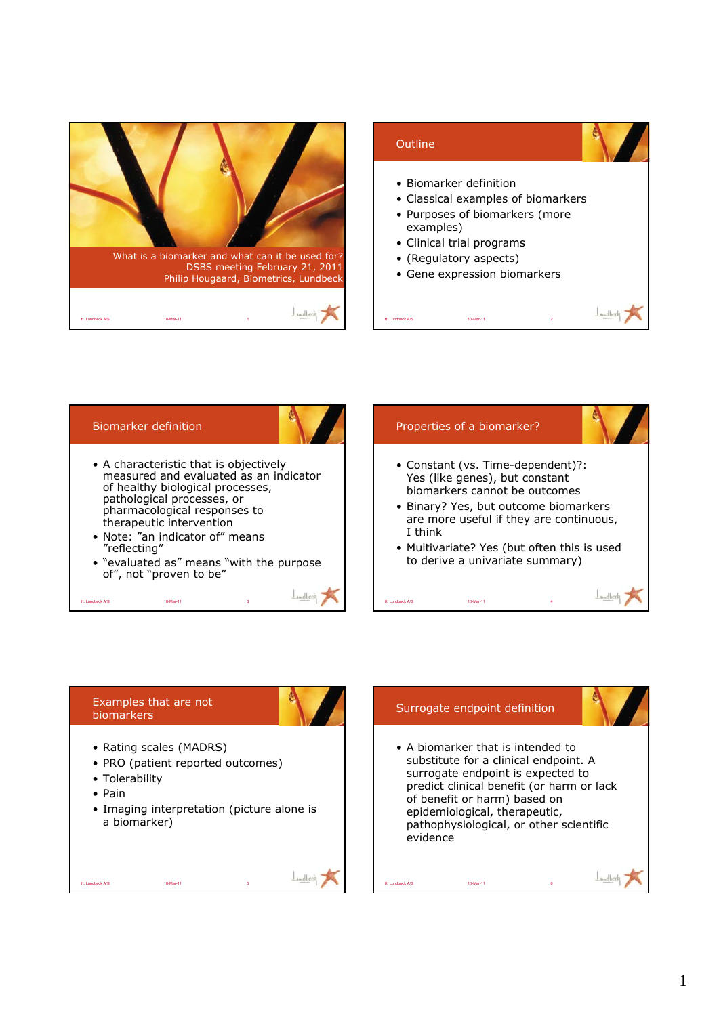



## Examples that are not biomarkers

• Rating scales (MADRS)

H. Lundbeck A/S 10-Mar-11 5

- PRO (patient reported outcomes)
- Tolerability
- Pain
- Imaging interpretation (picture alone is a biomarker)

# Surrogate endpoint definition

H. Lundbeck A/S 10-Mar-11 6



• A biomarker that is intended to substitute for a clinical endpoint. A surrogate endpoint is expected to predict clinical benefit (or harm or lack of benefit or harm) based on epidemiological, therapeutic, pathophysiological, or other scientific evidence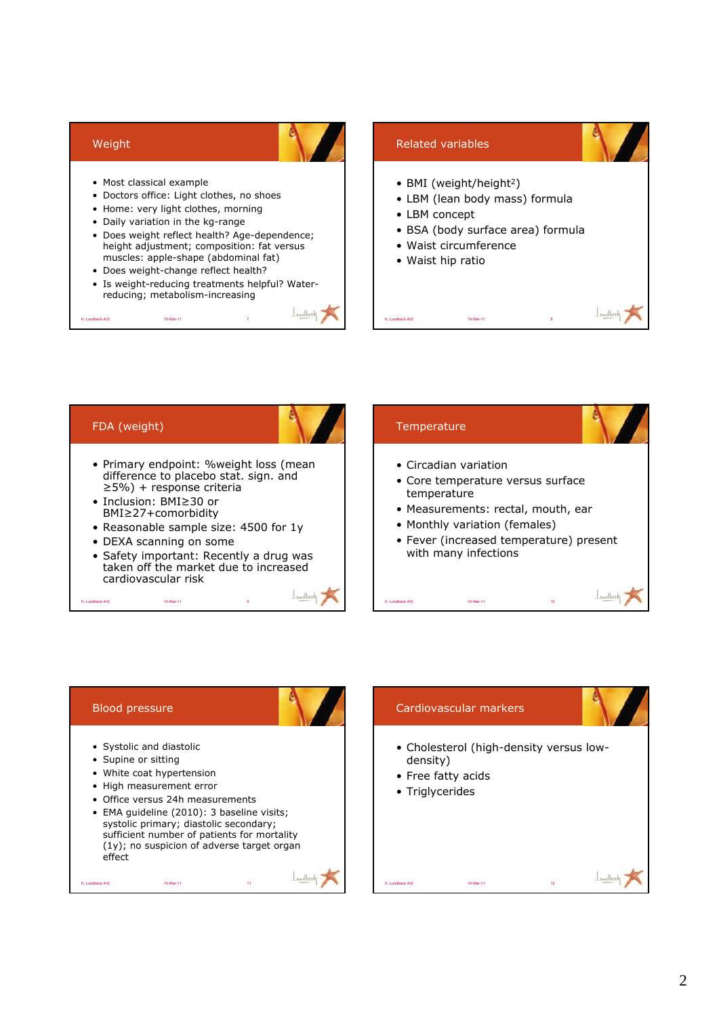



## Blood pressure

- Systolic and diastolic
- Supine or sitting
- White coat hypertension
- High measurement error
- Office versus 24h measurements

H. Lundbeck A/S 10-Mar-11 11

• EMA guideline (2010): 3 baseline visits; systolic primary; diastolic secondary; sufficient number of patients for mortality (1y); no suspicion of adverse target organ effect

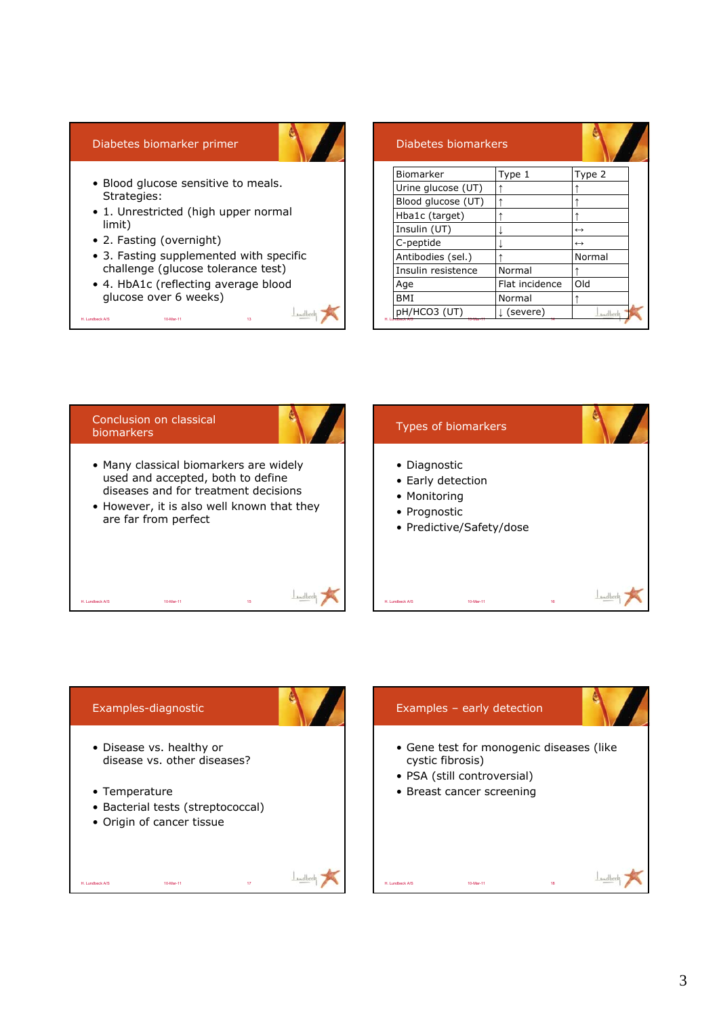## Diabetes biomarker primer

- Blood glucose sensitive to meals. Strategies:
- 1. Unrestricted (high upper normal limit)
- 2. Fasting (overnight)

H. Lundbeck A/S 10-Mar-11 13 13

- 3. Fasting supplemented with specific challenge (glucose tolerance test)
- 4. HbA1c (reflecting average blood glucose over 6 weeks)

| Diabetes biomarkers |                |                   |
|---------------------|----------------|-------------------|
| Biomarker           | Type 1         | Type 2            |
| Urine glucose (UT)  |                |                   |
| Blood glucose (UT)  |                |                   |
| Hba1c (target)      |                |                   |
| Insulin (UT)        |                | $\leftrightarrow$ |
| C-peptide           |                | $\leftrightarrow$ |
| Antibodies (sel.)   |                | Normal            |
| Insulin resistence  | Normal         |                   |
| Age                 | Flat incidence | Old               |
| BMI                 | Normal         |                   |
| pH/HCO3 (UT)        | (severe)       | <b>Midbeck</b>    |



 $L_{\text{model}}$ 

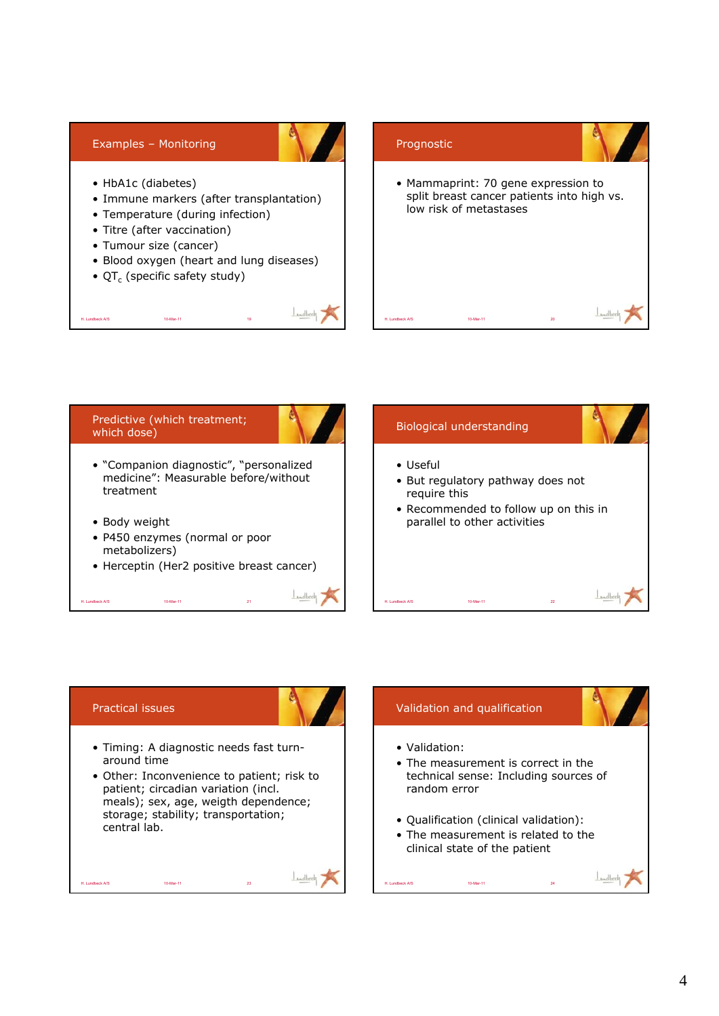![](_page_3_Picture_0.jpeg)

![](_page_3_Figure_1.jpeg)

## Practical issues

- Timing: A diagnostic needs fast turnaround time
- Other: Inconvenience to patient; risk to patient; circadian variation (incl. meals); sex, age, weigth dependence; storage; stability; transportation; central lab.

H. Lundbeck A/S 10-Mar-11 23

![](_page_3_Figure_5.jpeg)

H. Lundbeck A/S 10-Mar-11 24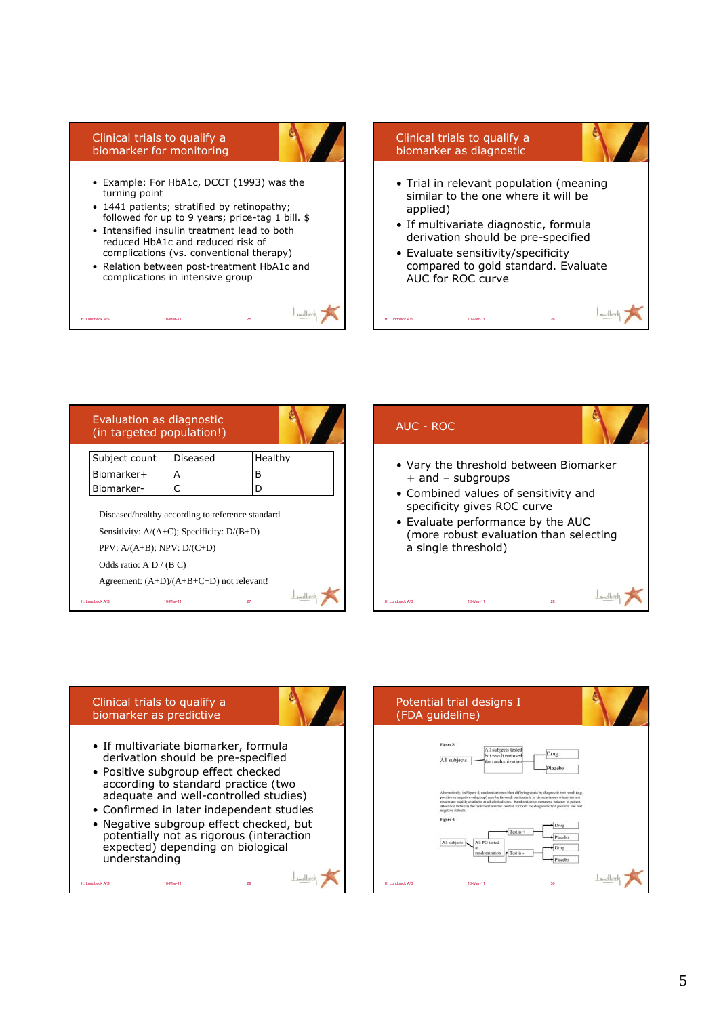#### Clinical trials to qualify a biomarker for monitoring

H. Lundbeck A/S 10-Mar-11

![](_page_4_Picture_1.jpeg)

- 1441 patients; stratified by retinopathy; followed for up to 9 years; price-tag 1 bill. \$
- Intensified insulin treatment lead to both reduced HbA1c and reduced risk of complications (vs. conventional therapy)
- Relation between post-treatment HbA1c and complications in intensive group

![](_page_4_Picture_5.jpeg)

![](_page_4_Figure_6.jpeg)

H. Lundbeck A/S 10-Mar-11

| (in targeted population!)                                 | Evaluation as diagnostic                                                                            |         |
|-----------------------------------------------------------|-----------------------------------------------------------------------------------------------------|---------|
| Subject count                                             | Diseased                                                                                            | Healthy |
| Biomarker+                                                | А                                                                                                   | B       |
| Biomarker-                                                | C                                                                                                   | D       |
|                                                           |                                                                                                     |         |
| $PPV: A/(A+B); NPV: D/(C+D)$<br>Odds ratio: $A D / (B C)$ | Diseased/healthy according to reference standard<br>Sensitivity: $A/(A+C)$ ; Specificity: $D/(B+D)$ |         |
|                                                           | Agreement: $(A+D)/(A+B+C+D)$ not relevant!                                                          |         |

![](_page_4_Picture_8.jpeg)

## Clinical trials to qualify a biomarker as predictive

H. Lundbeck A/S 10-Mar-11 29

![](_page_4_Picture_10.jpeg)

- If multivariate biomarker, formula derivation should be pre-specified
- Positive subgroup effect checked according to standard practice (two adequate and well-controlled studies)
- Confirmed in later independent studies
- Negative subgroup effect checked, but potentially not as rigorous (interaction expected) depending on biological understanding

![](_page_4_Figure_15.jpeg)